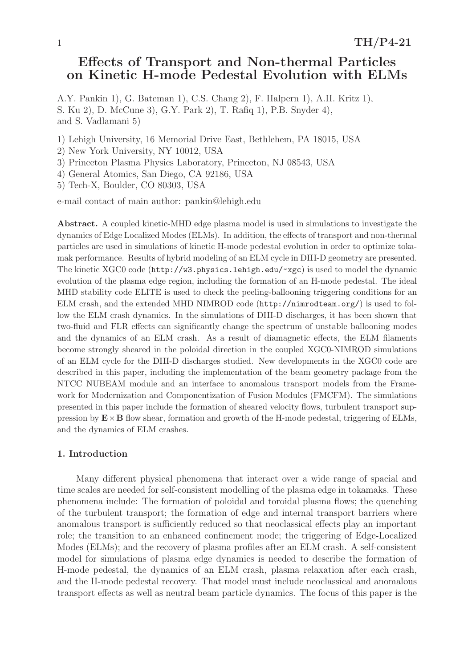# Effects of Transport and Non-thermal Particles on Kinetic H-mode Pedestal Evolution with ELMs

A.Y. Pankin 1), G. Bateman 1), C.S. Chang 2), F. Halpern 1), A.H. Kritz 1), S. Ku 2), D. McCune 3), G.Y. Park 2), T. Rafiq 1), P.B. Snyder 4), and S. Vadlamani 5)

- 1) Lehigh University, 16 Memorial Drive East, Bethlehem, PA 18015, USA
- 2) New York University, NY 10012, USA
- 3) Princeton Plasma Physics Laboratory, Princeton, NJ 08543, USA
- 4) General Atomics, San Diego, CA 92186, USA
- 5) Tech-X, Boulder, CO 80303, USA

e-mail contact of main author: pankin@lehigh.edu

Abstract. A coupled kinetic-MHD edge plasma model is used in simulations to investigate the dynamics of Edge Localized Modes (ELMs). In addition, the effects of transport and non-thermal particles are used in simulations of kinetic H-mode pedestal evolution in order to optimize tokamak performance. Results of hybrid modeling of an ELM cycle in DIII-D geometry are presented. The kinetic XGC0 code (http://w3.physics.lehigh.edu/~xgc) is used to model the dynamic evolution of the plasma edge region, including the formation of an H-mode pedestal. The ideal MHD stability code ELITE is used to check the peeling-ballooning triggering conditions for an ELM crash, and the extended MHD NIMROD code (http://nimrodteam.org/) is used to follow the ELM crash dynamics. In the simulations of DIII-D discharges, it has been shown that two-fluid and FLR effects can significantly change the spectrum of unstable ballooning modes and the dynamics of an ELM crash. As a result of diamagnetic effects, the ELM filaments become strongly sheared in the poloidal direction in the coupled XGC0-NIMROD simulations of an ELM cycle for the DIII-D discharges studied. New developments in the XGC0 code are described in this paper, including the implementation of the beam geometry package from the NTCC NUBEAM module and an interface to anomalous transport models from the Framework for Modernization and Componentization of Fusion Modules (FMCFM). The simulations presented in this paper include the formation of sheared velocity flows, turbulent transport suppression by  $\mathbf{E} \times \mathbf{B}$  flow shear, formation and growth of the H-mode pedestal, triggering of ELMs, and the dynamics of ELM crashes.

## 1. Introduction

Many different physical phenomena that interact over a wide range of spacial and time scales are needed for self-consistent modelling of the plasma edge in tokamaks. These phenomena include: The formation of poloidal and toroidal plasma flows; the quenching of the turbulent transport; the formation of edge and internal transport barriers where anomalous transport is sufficiently reduced so that neoclassical effects play an important role; the transition to an enhanced confinement mode; the triggering of Edge-Localized Modes (ELMs); and the recovery of plasma profiles after an ELM crash. A self-consistent model for simulations of plasma edge dynamics is needed to describe the formation of H-mode pedestal, the dynamics of an ELM crash, plasma relaxation after each crash, and the H-mode pedestal recovery. That model must include neoclassical and anomalous transport effects as well as neutral beam particle dynamics. The focus of this paper is the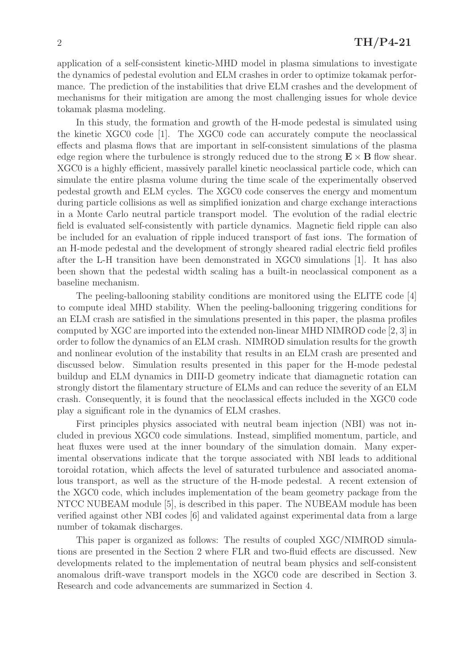application of a self-consistent kinetic-MHD model in plasma simulations to investigate the dynamics of pedestal evolution and ELM crashes in order to optimize tokamak performance. The prediction of the instabilities that drive ELM crashes and the development of mechanisms for their mitigation are among the most challenging issues for whole device tokamak plasma modeling.

In this study, the formation and growth of the H-mode pedestal is simulated using the kinetic XGC0 code [1]. The XGC0 code can accurately compute the neoclassical effects and plasma flows that are important in self-consistent simulations of the plasma edge region where the turbulence is strongly reduced due to the strong  $\mathbf{E} \times \mathbf{B}$  flow shear. XGC0 is a highly efficient, massively parallel kinetic neoclassical particle code, which can simulate the entire plasma volume during the time scale of the experimentally observed pedestal growth and ELM cycles. The XGC0 code conserves the energy and momentum during particle collisions as well as simplified ionization and charge exchange interactions in a Monte Carlo neutral particle transport model. The evolution of the radial electric field is evaluated self-consistently with particle dynamics. Magnetic field ripple can also be included for an evaluation of ripple induced transport of fast ions. The formation of an H-mode pedestal and the development of strongly sheared radial electric field profiles after the L-H transition have been demonstrated in XGC0 simulations [1]. It has also been shown that the pedestal width scaling has a built-in neoclassical component as a baseline mechanism.

The peeling-ballooning stability conditions are monitored using the ELITE code [4] to compute ideal MHD stability. When the peeling-ballooning triggering conditions for an ELM crash are satisfied in the simulations presented in this paper, the plasma profiles computed by XGC are imported into the extended non-linear MHD NIMROD code [2, 3] in order to follow the dynamics of an ELM crash. NIMROD simulation results for the growth and nonlinear evolution of the instability that results in an ELM crash are presented and discussed below. Simulation results presented in this paper for the H-mode pedestal buildup and ELM dynamics in DIII-D geometry indicate that diamagnetic rotation can strongly distort the filamentary structure of ELMs and can reduce the severity of an ELM crash. Consequently, it is found that the neoclassical effects included in the XGC0 code play a significant role in the dynamics of ELM crashes.

First principles physics associated with neutral beam injection (NBI) was not included in previous XGC0 code simulations. Instead, simplified momentum, particle, and heat fluxes were used at the inner boundary of the simulation domain. Many experimental observations indicate that the torque associated with NBI leads to additional toroidal rotation, which affects the level of saturated turbulence and associated anomalous transport, as well as the structure of the H-mode pedestal. A recent extension of the XGC0 code, which includes implementation of the beam geometry package from the NTCC NUBEAM module [5], is described in this paper. The NUBEAM module has been verified against other NBI codes [6] and validated against experimental data from a large number of tokamak discharges.

This paper is organized as follows: The results of coupled XGC/NIMROD simulations are presented in the Section 2 where FLR and two-fluid effects are discussed. New developments related to the implementation of neutral beam physics and self-consistent anomalous drift-wave transport models in the XGC0 code are described in Section 3. Research and code advancements are summarized in Section 4.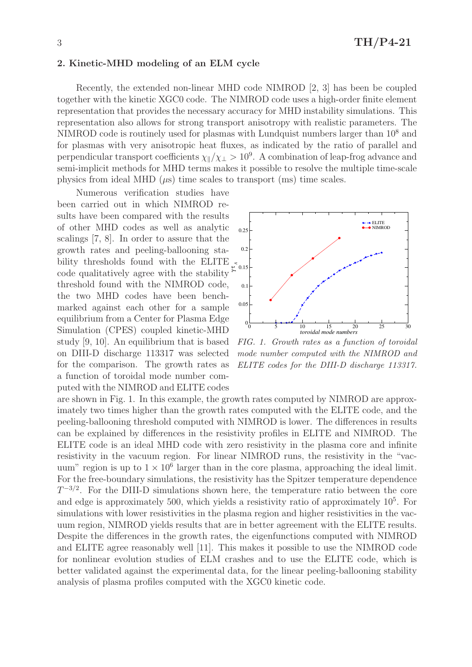## 2. Kinetic-MHD modeling of an ELM cycle

Recently, the extended non-linear MHD code NIMROD [2, 3] has been be coupled together with the kinetic XGC0 code. The NIMROD code uses a high-order finite element representation that provides the necessary accuracy for MHD instability simulations. This representation also allows for strong transport anisotropy with realistic parameters. The NIMROD code is routinely used for plasmas with Lundquist numbers larger than 10<sup>8</sup> and for plasmas with very anisotropic heat fluxes, as indicated by the ratio of parallel and perpendicular transport coefficients  $\chi_{\parallel}/\chi_{\perp} > 10^9$ . A combination of leap-frog advance and semi-implicit methods for MHD terms makes it possible to resolve the multiple time-scale physics from ideal MHD  $(\mu s)$  time scales to transport (ms) time scales.

bility thresholds found with the ELITE  $\zeta_{0.15}$ Numerous verification studies have been carried out in which NIMROD results have been compared with the results of other MHD codes as well as analytic scalings [7, 8]. In order to assure that the growth rates and peeling-ballooning stacode qualitatively agree with the stability threshold found with the NIMROD code, the two MHD codes have been benchmarked against each other for a sample equilibrium from a Center for Plasma Edge Simulation (CPES) coupled kinetic-MHD study [9, 10]. An equilibrium that is based on DIII-D discharge 113317 was selected for the comparison. The growth rates as a function of toroidal mode number computed with the NIMROD and ELITE codes



FIG. 1. Growth rates as a function of toroidal mode number computed with the NIMROD and ELITE codes for the DIII-D discharge 113317.

are shown in Fig. 1. In this example, the growth rates computed by NIMROD are approximately two times higher than the growth rates computed with the ELITE code, and the peeling-ballooning threshold computed with NIMROD is lower. The differences in results can be explained by differences in the resistivity profiles in ELITE and NIMROD. The ELITE code is an ideal MHD code with zero resistivity in the plasma core and infinite resistivity in the vacuum region. For linear NIMROD runs, the resistivity in the "vacuum" region is up to  $1 \times 10^6$  larger than in the core plasma, approaching the ideal limit. For the free-boundary simulations, the resistivity has the Spitzer temperature dependence  $T^{-3/2}$ . For the DIII-D simulations shown here, the temperature ratio between the core and edge is approximately 500, which yields a resistivity ratio of approximately  $10<sup>5</sup>$ . For simulations with lower resistivities in the plasma region and higher resistivities in the vacuum region, NIMROD yields results that are in better agreement with the ELITE results. Despite the differences in the growth rates, the eigenfunctions computed with NIMROD and ELITE agree reasonably well [11]. This makes it possible to use the NIMROD code for nonlinear evolution studies of ELM crashes and to use the ELITE code, which is better validated against the experimental data, for the linear peeling-ballooning stability analysis of plasma profiles computed with the XGC0 kinetic code.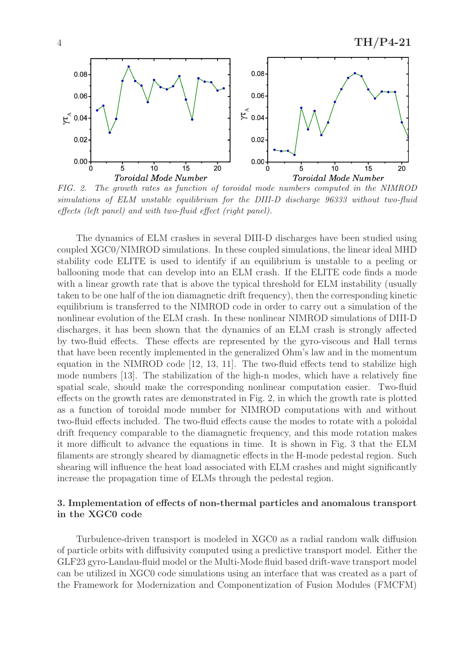

FIG. 2. The growth rates as function of toroidal mode numbers computed in the NIMROD simulations of ELM unstable equilibrium for the DIII-D discharge 96333 without two-fluid effects (left panel) and with two-fluid effect (right panel).

The dynamics of ELM crashes in several DIII-D discharges have been studied using coupled XGC0/NIMROD simulations. In these coupled simulations, the linear ideal MHD stability code ELITE is used to identify if an equilibrium is unstable to a peeling or ballooning mode that can develop into an ELM crash. If the ELITE code finds a mode with a linear growth rate that is above the typical threshold for ELM instability (usually taken to be one half of the ion diamagnetic drift frequency), then the corresponding kinetic equilibrium is transferred to the NIMROD code in order to carry out a simulation of the nonlinear evolution of the ELM crash. In these nonlinear NIMROD simulations of DIII-D discharges, it has been shown that the dynamics of an ELM crash is strongly affected by two-fluid effects. These effects are represented by the gyro-viscous and Hall terms that have been recently implemented in the generalized Ohm's law and in the momentum equation in the NIMROD code [12, 13, 11]. The two-fluid effects tend to stabilize high mode numbers [13]. The stabilization of the high-n modes, which have a relatively fine spatial scale, should make the corresponding nonlinear computation easier. Two-fluid effects on the growth rates are demonstrated in Fig. 2, in which the growth rate is plotted as a function of toroidal mode number for NIMROD computations with and without two-fluid effects included. The two-fluid effects cause the modes to rotate with a poloidal drift frequency comparable to the diamagnetic frequency, and this mode rotation makes it more difficult to advance the equations in time. It is shown in Fig. 3 that the ELM filaments are strongly sheared by diamagnetic effects in the H-mode pedestal region. Such shearing will influence the heat load associated with ELM crashes and might significantly increase the propagation time of ELMs through the pedestal region.

## 3. Implementation of effects of non-thermal particles and anomalous transport in the XGC0 code

Turbulence-driven transport is modeled in XGC0 as a radial random walk diffusion of particle orbits with diffusivity computed using a predictive transport model. Either the GLF23 gyro-Landau-fluid model or the Multi-Mode fluid based drift-wave transport model can be utilized in XGC0 code simulations using an interface that was created as a part of the Framework for Modernization and Componentization of Fusion Modules (FMCFM)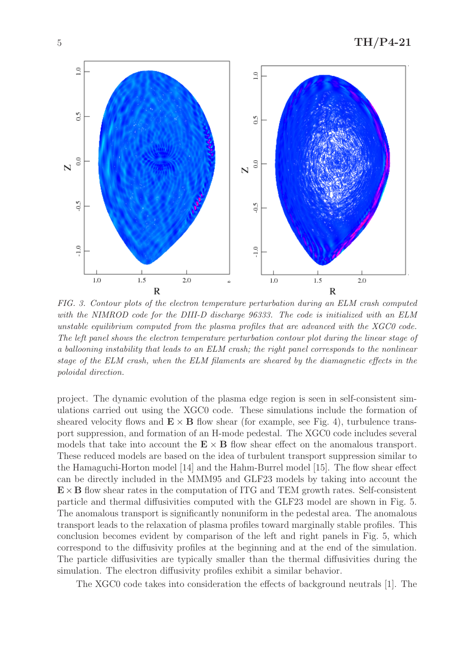

FIG. 3. Contour plots of the electron temperature perturbation during an ELM crash computed with the NIMROD code for the DIII-D discharge 96333. The code is initialized with an ELM unstable equilibrium computed from the plasma profiles that are advanced with the XGC0 code. The left panel shows the electron temperature perturbation contour plot during the linear stage of a ballooning instability that leads to an ELM crash; the right panel corresponds to the nonlinear stage of the ELM crash, when the ELM filaments are sheared by the diamagnetic effects in the poloidal direction.

project. The dynamic evolution of the plasma edge region is seen in self-consistent simulations carried out using the XGC0 code. These simulations include the formation of sheared velocity flows and  $\mathbf{E} \times \mathbf{B}$  flow shear (for example, see Fig. 4), turbulence transport suppression, and formation of an H-mode pedestal. The XGC0 code includes several models that take into account the  $E \times B$  flow shear effect on the anomalous transport. These reduced models are based on the idea of turbulent transport suppression similar to the Hamaguchi-Horton model [14] and the Hahm-Burrel model [15]. The flow shear effect can be directly included in the MMM95 and GLF23 models by taking into account the  $\mathbf{E} \times \mathbf{B}$  flow shear rates in the computation of ITG and TEM growth rates. Self-consistent particle and thermal diffusivities computed with the GLF23 model are shown in Fig. 5. The anomalous transport is significantly nonuniform in the pedestal area. The anomalous transport leads to the relaxation of plasma profiles toward marginally stable profiles. This conclusion becomes evident by comparison of the left and right panels in Fig. 5, which correspond to the diffusivity profiles at the beginning and at the end of the simulation. The particle diffusivities are typically smaller than the thermal diffusivities during the simulation. The electron diffusivity profiles exhibit a similar behavior.

The XGC0 code takes into consideration the effects of background neutrals [1]. The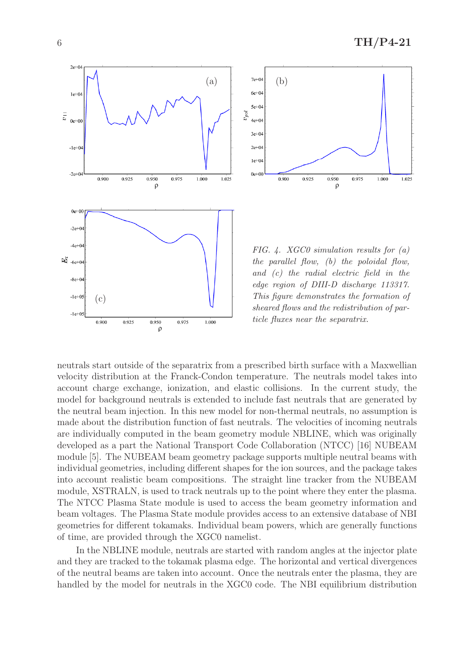



FIG. 4. XGC0 simulation results for  $(a)$ the parallel flow, (b) the poloidal flow, and (c) the radial electric field in the edge region of DIII-D discharge 113317. This figure demonstrates the formation of sheared flows and the redistribution of particle fluxes near the separatrix.

neutrals start outside of the separatrix from a prescribed birth surface with a Maxwellian velocity distribution at the Franck-Condon temperature. The neutrals model takes into account charge exchange, ionization, and elastic collisions. In the current study, the model for background neutrals is extended to include fast neutrals that are generated by the neutral beam injection. In this new model for non-thermal neutrals, no assumption is made about the distribution function of fast neutrals. The velocities of incoming neutrals are individually computed in the beam geometry module NBLINE, which was originally developed as a part the National Transport Code Collaboration (NTCC) [16] NUBEAM module [5]. The NUBEAM beam geometry package supports multiple neutral beams with individual geometries, including different shapes for the ion sources, and the package takes into account realistic beam compositions. The straight line tracker from the NUBEAM module, XSTRALN, is used to track neutrals up to the point where they enter the plasma. The NTCC Plasma State module is used to access the beam geometry information and beam voltages. The Plasma State module provides access to an extensive database of NBI geometries for different tokamaks. Individual beam powers, which are generally functions of time, are provided through the XGC0 namelist.

In the NBLINE module, neutrals are started with random angles at the injector plate and they are tracked to the tokamak plasma edge. The horizontal and vertical divergences of the neutral beams are taken into account. Once the neutrals enter the plasma, they are handled by the model for neutrals in the XGC0 code. The NBI equilibrium distribution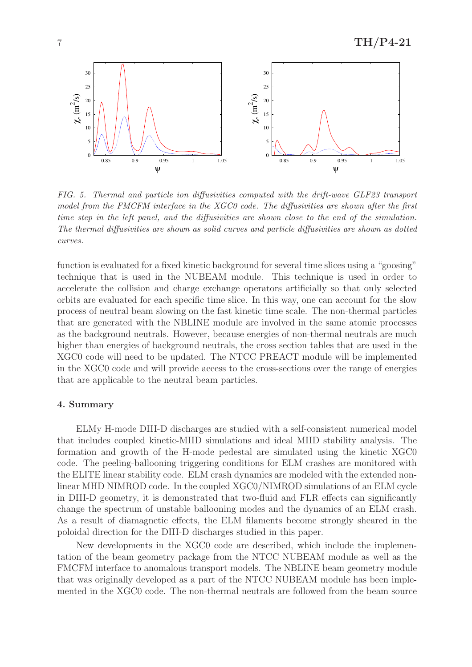

FIG. 5. Thermal and particle ion diffusivities computed with the drift-wave GLF23 transport model from the FMCFM interface in the XGC0 code. The diffusivities are shown after the first time step in the left panel, and the diffusivities are shown close to the end of the simulation. The thermal diffusivities are shown as solid curves and particle diffusivities are shown as dotted curves.

function is evaluated for a fixed kinetic background for several time slices using a "goosing" technique that is used in the NUBEAM module. This technique is used in order to accelerate the collision and charge exchange operators artificially so that only selected orbits are evaluated for each specific time slice. In this way, one can account for the slow process of neutral beam slowing on the fast kinetic time scale. The non-thermal particles that are generated with the NBLINE module are involved in the same atomic processes as the background neutrals. However, because energies of non-thermal neutrals are much higher than energies of background neutrals, the cross section tables that are used in the XGC0 code will need to be updated. The NTCC PREACT module will be implemented in the XGC0 code and will provide access to the cross-sections over the range of energies that are applicable to the neutral beam particles.

### 4. Summary

ELMy H-mode DIII-D discharges are studied with a self-consistent numerical model that includes coupled kinetic-MHD simulations and ideal MHD stability analysis. The formation and growth of the H-mode pedestal are simulated using the kinetic XGC0 code. The peeling-ballooning triggering conditions for ELM crashes are monitored with the ELITE linear stability code. ELM crash dynamics are modeled with the extended nonlinear MHD NIMROD code. In the coupled XGC0/NIMROD simulations of an ELM cycle in DIII-D geometry, it is demonstrated that two-fluid and FLR effects can significantly change the spectrum of unstable ballooning modes and the dynamics of an ELM crash. As a result of diamagnetic effects, the ELM filaments become strongly sheared in the poloidal direction for the DIII-D discharges studied in this paper.

New developments in the XGC0 code are described, which include the implementation of the beam geometry package from the NTCC NUBEAM module as well as the FMCFM interface to anomalous transport models. The NBLINE beam geometry module that was originally developed as a part of the NTCC NUBEAM module has been implemented in the XGC0 code. The non-thermal neutrals are followed from the beam source